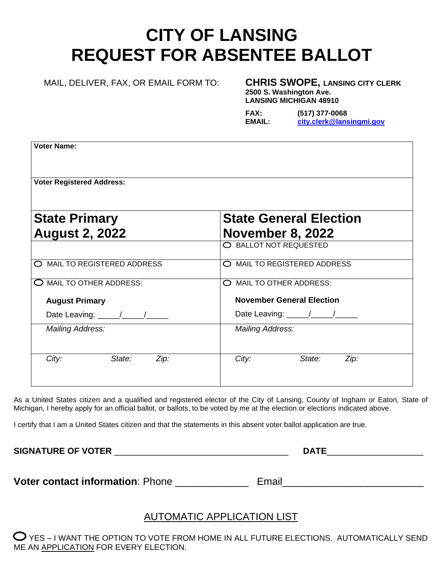# **CITY OF LANSING REQUEST FOR ABSENTEE BALLOT**

### MAIL, DELIVER, FAX, OR EMAIL FORM TO: **CHRIS SWOPE, LANSING CITY CLERK**

**2500 S. Washington Ave. LANSING MICHIGAN 48910**

| <b>FAX:</b> | $(517)$ 377-0068         |
|-------------|--------------------------|
| EMAIL:      | city.clerk@lansingmi.gov |

| <b>Voter Name:</b>                            |                                                          |
|-----------------------------------------------|----------------------------------------------------------|
| <b>Voter Registered Address:</b>              |                                                          |
| <b>State Primary</b><br><b>August 2, 2022</b> | <b>State General Election</b><br><b>November 8, 2022</b> |
|                                               | O BALLOT NOT REQUESTED                                   |
| O MAIL TO REGISTERED ADDRESS                  | MAIL TO REGISTERED ADDRESS<br>⌒                          |
| O MAIL TO OTHER ADDRESS:                      | O MAIL TO OTHER ADDRESS:                                 |
| <b>August Primary</b>                         | <b>November General Election</b>                         |
| Date Leaving: \[\]                            | Date Leaving: \[\]                                       |
| <b>Mailing Address:</b>                       | <b>Mailing Address:</b>                                  |
| City:<br>State:<br>Zip:                       | State:<br>City:<br>Zip:                                  |

As a United States citizen and a qualified and registered elector of the City of Lansing, County of Ingham or Eaton, State of Michigan, I hereby apply for an official ballot, or ballots, to be voted by me at the election or elections indicated above.

I certify that I am a United States citizen and that the statements in this absent voter ballot application are true.

**SIGNATURE OF VOTER** \_\_\_\_\_\_\_\_\_\_\_\_\_\_\_\_\_\_\_\_\_\_\_\_\_\_\_\_\_\_\_\_\_\_\_\_ **DATE**\_\_\_\_\_\_\_\_\_\_\_\_\_\_\_\_\_\_\_\_

**Voter contact information**: Phone \_\_\_\_\_\_\_\_\_\_\_\_\_\_\_ Email\_\_\_\_\_\_\_\_\_\_\_\_\_\_\_\_\_\_\_\_\_\_\_\_\_\_

## AUTOMATIC APPLICATION LIST

 $\bullet$  YES – I WANT THE OPTION TO VOTE FROM HOME IN ALL FUTURE ELECTIONS. AUTOMATICALLY SEND ME AN APPLICATION FOR EVERY ELECTION.